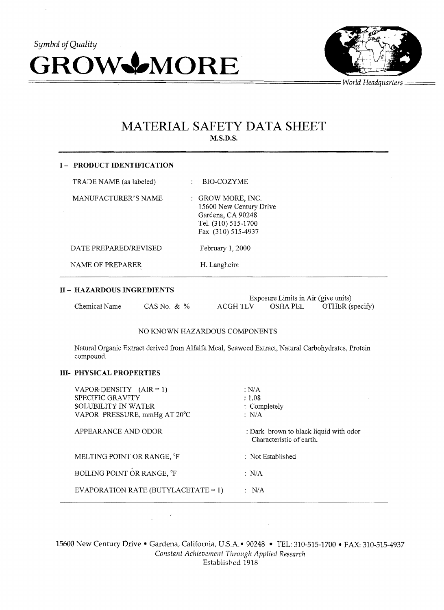



# MATERIAL SAFETY DATA SHEET M.S.D.S.

| <b>I- PRODUCT IDENTIFICATION</b> |                                                                                                                |  |  |  |
|----------------------------------|----------------------------------------------------------------------------------------------------------------|--|--|--|
| TRADE NAME (as labeled)          | BIO-COZYME                                                                                                     |  |  |  |
| MANUFACTURER'S NAME              | : GROW MORE, INC.<br>15600 New Century Drive<br>Gardena, CA 90248<br>Tel. (310) 515-1700<br>Fax (310) 515-4937 |  |  |  |
| DATE PREPARED/REVISED            | February $1,2000$                                                                                              |  |  |  |
| NAME OF PREPARER                 | H. Langheim                                                                                                    |  |  |  |

## II - HAZARDOUS INGREDIENTS

|               |                | Exposure Limits in Air (give units) |            |                 |
|---------------|----------------|-------------------------------------|------------|-----------------|
| Chemical Name | CAS No. $\&\%$ | ACGH TLV                            | - OSHA PEL | OTHER (specify) |

#### NO KNOWN HAZARDOUS COMPONENTS

Natural Organic Extract derived from Alfalfa Meal, Seaweed Extract, Natural Carbohydrates, Protein compound.

## III- PHYSICAL PROPERTIES

**Service** 

| VAPOR DENSITY $(AIR = 1)$<br>SPECIFIC GRAVITY<br>SOLUBILITY IN WATER<br>VAPOR PRESSURE, mmHg AT 20°C | : $N/A$<br>: 1.08<br>: Completely<br>$\therefore$ N/A              |
|------------------------------------------------------------------------------------------------------|--------------------------------------------------------------------|
| APPEARANCE AND ODOR                                                                                  | : Dark brown to black liquid with odor<br>Characteristic of earth. |
| MELTING POINT OR RANGE, <sup>o</sup> F                                                               | : Not Established                                                  |
| BOILING POINT OR RANGE, °F                                                                           | $\therefore$ N/A                                                   |
| EVAPORATION RATE (BUTYLACETATE = 1)                                                                  | $\therefore$ N/A                                                   |

15600 New Century Drive - Gardena, California, U.S.A.- 90248 - TEL: 310-515-1700 - FAX: 310-515-4937 *Constant Achievemel1t Through Applied Research*  Established 1918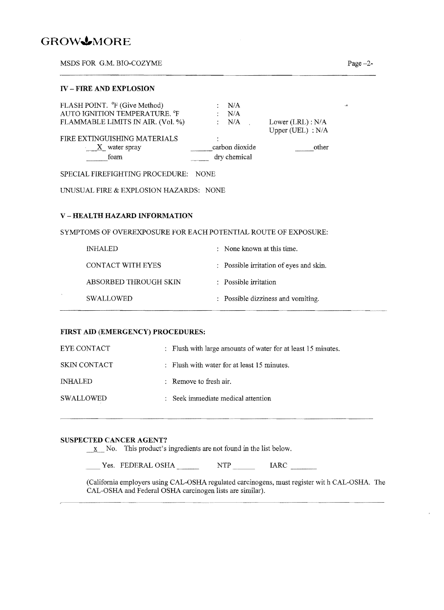# **GROWJ,MORE**

 $\mathcal{L}$ 

MSDS FOR G.M. BIO-COZYME Page -2-MSDS FOR G.M. BIO-COZYME<br>
Page -2-

| FLASH POINT. <sup>o</sup> F (Give Method)<br>AUTO IGNITION TEMPERATURE. °F | N/A<br>N/A                     |                                         |
|----------------------------------------------------------------------------|--------------------------------|-----------------------------------------|
| FLAMMABLE LIMITS IN AIR. (Vol. %)                                          | : N/A                          | Lower $(LRL): N/A$<br>Upper (UEL) : N/A |
| FIRE EXTINGUISHING MATERIALS<br>$X$ water spray<br>foam                    | carbon dioxide<br>dry chemical | other                                   |

SPECIAL FIREFIGHTING PROCEDURE: NONE

UNUSUAL FIRE & EXPLOSION HAZARDS: NONE

## **V-HEALTH HAZARD INFORMATION**

SYMPTOMS OF OVEREXPOSURE FOR EACH POTENTIAL ROUTE OF EXPOSURE:

| INHALED               | $\therefore$ None known at this time.   |
|-----------------------|-----------------------------------------|
| CONTACT WITH EYES     | : Possible irritation of eyes and skin. |
| ABSORBED THROUGH SKIN | : Possible irritation                   |
| <b>SWALLOWED</b>      | : Possible dizziness and vomiting.      |
|                       |                                         |

#### **FIRST AID (EMERGENCY) PROCEDURES:**

| EYE CONTACT         | : Flush with large amounts of water for at least 15 minutes. |
|---------------------|--------------------------------------------------------------|
| <b>SKIN CONTACT</b> | : Flush with water for at least $15$ minutes.                |
| <b>INHALED</b>      | $\therefore$ Remove to fresh air.                            |
| <b>SWALLOWED</b>    | : Seek immediate medical attention                           |

### **SUSPECTED CANCER AGENT'!**

 $\underline{x}$  No. This product's ingredients are not found in the list below.

Yes. FEDERAL OSHA \_\_\_\_\_\_\_ NTP \_\_\_\_\_\_ IARC \_\_\_\_\_

(California employers using CAL-OSHA regulated carcinogens, must register wit h CAL-OSHA. The CAL-OSHA and Federal OSHA carcinogen lists are similar).

 $\ddot{\mathbf{r}}$